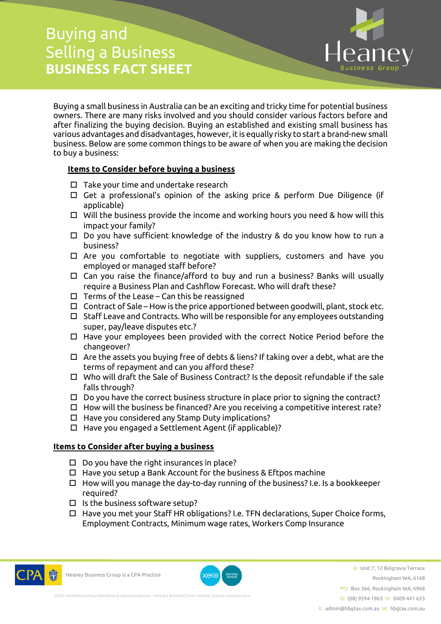## Buying and Selling a Business **BUSINESS FACT SHEET**



Buying a small business in Australia can be an exciting and tricky time for potential business owners. There are many risks involved and you should consider various factors before and after finalizing the buying decision. Buying an established and existing small business has various advantages and disadvantages, however, it is equally risky to start a brand-new small business. Below are some common things to be aware of when you are making the decision to buy a business:

## **Items to Consider before buying a business**

- $\square$  Take your time and undertake research
- Get a professional's opinion of the asking price & perform Due Diligence (if applicable)
- $\Box$  Will the business provide the income and working hours you need & how will this impact your family?
- $\Box$  Do you have sufficient knowledge of the industry & do you know how to run a business?
- $\Box$  Are you comfortable to negotiate with suppliers, customers and have you employed or managed staff before?
- Can you raise the finance/afford to buy and run a business? Banks will usually require a Business Plan and Cashflow Forecast. Who will draft these?
- $\Box$  Terms of the Lease Can this be reassigned
- $\Box$  Contract of Sale How is the price apportioned between goodwill, plant, stock etc.
- $\square$  Staff Leave and Contracts. Who will be responsible for any employees outstanding super, pay/leave disputes etc.?
- Have your employees been provided with the correct Notice Period before the changeover?
- $\Box$  Are the assets you buying free of debts & liens? If taking over a debt, what are the terms of repayment and can you afford these?
- Who will draft the Sale of Business Contract? Is the deposit refundable if the sale falls through?
- $\square$  Do you have the correct business structure in place prior to signing the contract?
- $\Box$  How will the business be financed? Are you receiving a competitive interest rate?
- $\Box$  Have you considered any Stamp Duty implications?
- $\Box$  Have you engaged a Settlement Agent (if applicable)?

## **Items to Consider after buying a business**

- $\square$  Do you have the right insurances in place?
- $\Box$  Have you setup a Bank Account for the business & Eftpos machine
- $\Box$  How will you manage the day-to-day running of the business? I.e. Is a bookkeeper required?
- $\square$  Is the business software setup?
- $\Box$  Have you met your Staff HR obligations? I.e. TFN declarations, Super Choice forms, Employment Contracts, Minimum wage rates, Workers Comp Insurance